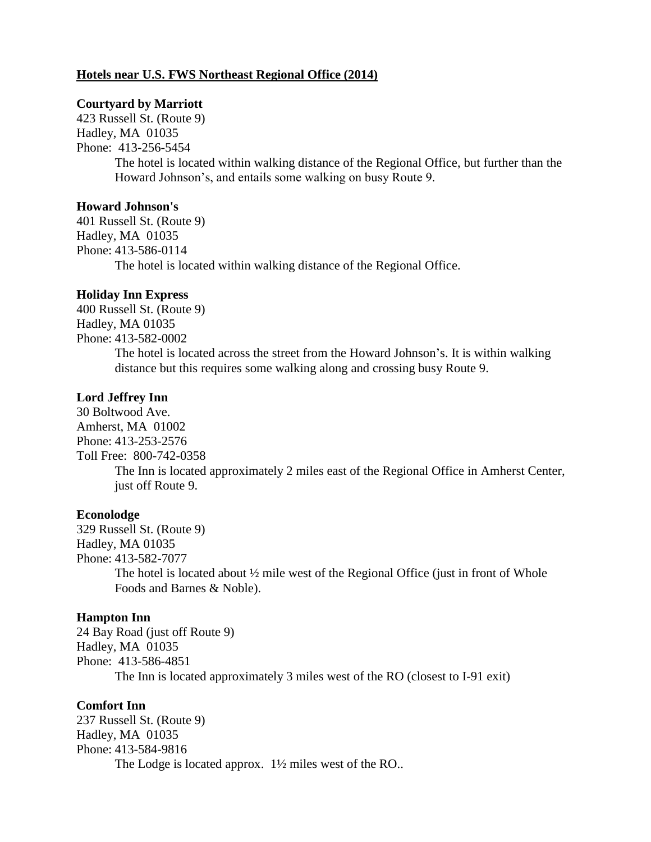# **Hotels near U.S. FWS Northeast Regional Office (2014)**

#### **Courtyard by Marriott**

423 Russell St. (Route 9) Hadley, MA 01035 Phone: 413-256-5454 The hotel is located within walking distance of the Regional Office, but further than the Howard Johnson's, and entails some walking on busy Route 9.

# **Howard Johnson's**

401 Russell St. (Route 9) Hadley, MA 01035 Phone: 413-586-0114 The hotel is located within walking distance of the Regional Office.

#### **Holiday Inn Express**

400 Russell St. (Route 9) Hadley, MA 01035 Phone: 413-582-0002 The hotel is located across the street from the Howard Johnson's. It is within walking distance but this requires some walking along and crossing busy Route 9.

# **Lord Jeffrey Inn**

30 Boltwood Ave. Amherst, MA 01002 Phone: 413-253-2576 Toll Free: 800-742-0358 The Inn is located approximately 2 miles east of the Regional Office in Amherst Center, just off Route 9.

#### **Econolodge**

329 Russell St. (Route 9) Hadley, MA 01035 Phone: 413-582-7077 The hotel is located about  $\frac{1}{2}$  mile west of the Regional Office (just in front of Whole Foods and Barnes & Noble).

### **Hampton Inn**

24 Bay Road (just off Route 9) Hadley, MA 01035 Phone: 413-586-4851 The Inn is located approximately 3 miles west of the RO (closest to I-91 exit)

#### **Comfort Inn**

237 Russell St. (Route 9) Hadley, MA 01035 Phone: 413-584-9816 The Lodge is located approx. 1<sup>1</sup>/<sub>2</sub> miles west of the RO..